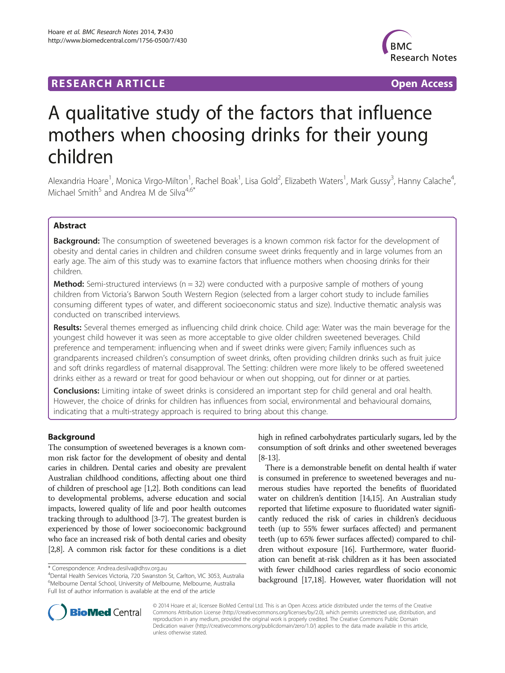## **RESEARCH ARTICLE Example 2018 12:00 Department 2018 12:00 Department 2018 12:00 Department 2018 12:00 Department 2018 12:00 Department 2018 12:00 Department 2018 12:00 Department 2018 12:00 Department 2018 12:00 Departm**



# A qualitative study of the factors that influence mothers when choosing drinks for their young children

Alexandria Hoare<sup>1</sup>, Monica Virgo-Milton<sup>1</sup>, Rachel Boak<sup>1</sup>, Lisa Gold<sup>2</sup>, Elizabeth Waters<sup>1</sup>, Mark Gussy<sup>3</sup>, Hanny Calache<sup>4</sup> , Michael Smith<sup>5</sup> and Andrea M de Silva<sup>4,6\*</sup>

## Abstract

**Background:** The consumption of sweetened beverages is a known common risk factor for the development of obesity and dental caries in children and children consume sweet drinks frequently and in large volumes from an early age. The aim of this study was to examine factors that influence mothers when choosing drinks for their children.

**Method:** Semi-structured interviews ( $n = 32$ ) were conducted with a purposive sample of mothers of young children from Victoria's Barwon South Western Region (selected from a larger cohort study to include families consuming different types of water, and different socioeconomic status and size). Inductive thematic analysis was conducted on transcribed interviews.

Results: Several themes emerged as influencing child drink choice. Child age: Water was the main beverage for the youngest child however it was seen as more acceptable to give older children sweetened beverages. Child preference and temperament: influencing when and if sweet drinks were given; Family influences such as grandparents increased children's consumption of sweet drinks, often providing children drinks such as fruit juice and soft drinks regardless of maternal disapproval. The Setting: children were more likely to be offered sweetened drinks either as a reward or treat for good behaviour or when out shopping, out for dinner or at parties.

Conclusions: Limiting intake of sweet drinks is considered an important step for child general and oral health. However, the choice of drinks for children has influences from social, environmental and behavioural domains, indicating that a multi-strategy approach is required to bring about this change.

## Background

The consumption of sweetened beverages is a known common risk factor for the development of obesity and dental caries in children. Dental caries and obesity are prevalent Australian childhood conditions, affecting about one third of children of preschool age [\[1,2](#page-7-0)]. Both conditions can lead to developmental problems, adverse education and social impacts, lowered quality of life and poor health outcomes tracking through to adulthood [[3](#page-7-0)-[7](#page-7-0)]. The greatest burden is experienced by those of lower socioeconomic background who face an increased risk of both dental caries and obesity [[2,8](#page-7-0)]. A common risk factor for these conditions is a diet

high in refined carbohydrates particularly sugars, led by the consumption of soft drinks and other sweetened beverages [[8](#page-7-0)-[13](#page-7-0)].

There is a demonstrable benefit on dental health if water is consumed in preference to sweetened beverages and numerous studies have reported the benefits of fluoridated water on children's dentition [\[14,15](#page-7-0)]. An Australian study reported that lifetime exposure to fluoridated water significantly reduced the risk of caries in children's deciduous teeth (up to 55% fewer surfaces affected) and permanent teeth (up to 65% fewer surfaces affected) compared to children without exposure [\[16\]](#page-7-0). Furthermore, water fluoridation can benefit at-risk children as it has been associated with fewer childhood caries regardless of socio economic background [[17,18\]](#page-7-0). However, water fluoridation will not



© 2014 Hoare et al.; licensee BioMed Central Ltd. This is an Open Access article distributed under the terms of the Creative Commons Attribution License [\(http://creativecommons.org/licenses/by/2.0\)](http://creativecommons.org/licenses/by/2.0), which permits unrestricted use, distribution, and reproduction in any medium, provided the original work is properly credited. The Creative Commons Public Domain Dedication waiver [\(http://creativecommons.org/publicdomain/zero/1.0/](http://creativecommons.org/publicdomain/zero/1.0/)) applies to the data made available in this article, unless otherwise stated.

<sup>\*</sup> Correspondence: [Andrea.desilva@dhsv.org.au](mailto:Andrea.desilva@dhsv.org.au) <sup>4</sup>

Dental Health Services Victoria, 720 Swanston St, Carlton, VIC 3053, Australia <sup>6</sup>Melbourne Dental School, University of Melbourne, Melbourne, Australia Full list of author information is available at the end of the article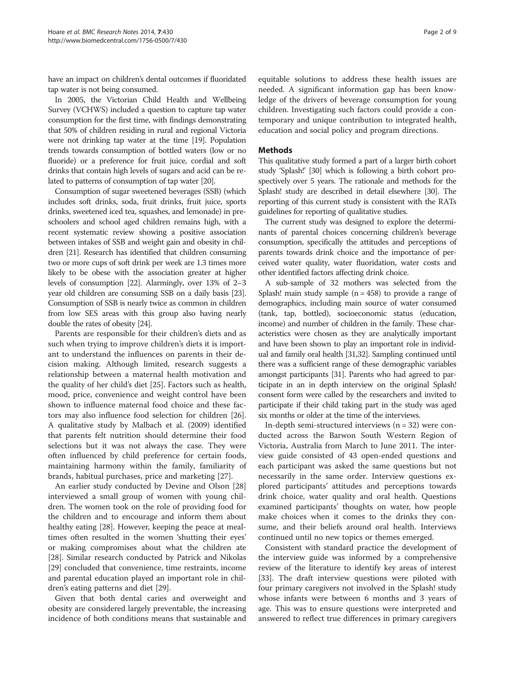have an impact on children's dental outcomes if fluoridated tap water is not being consumed.

In 2005, the Victorian Child Health and Wellbeing Survey (VCHWS) included a question to capture tap water consumption for the first time, with findings demonstrating that 50% of children residing in rural and regional Victoria were not drinking tap water at the time [\[19\]](#page-7-0). Population trends towards consumption of bottled waters (low or no fluoride) or a preference for fruit juice, cordial and soft drinks that contain high levels of sugars and acid can be related to patterns of consumption of tap water [[20](#page-7-0)].

Consumption of sugar sweetened beverages (SSB) (which includes soft drinks, soda, fruit drinks, fruit juice, sports drinks, sweetened iced tea, squashes, and lemonade) in preschoolers and school aged children remains high, with a recent systematic review showing a positive association between intakes of SSB and weight gain and obesity in children [\[21](#page-7-0)]. Research has identified that children consuming two or more cups of soft drink per week are 1.3 times more likely to be obese with the association greater at higher levels of consumption [\[22](#page-7-0)]. Alarmingly, over 13% of 2–3 year old children are consuming SSB on a daily basis [\[23](#page-7-0)]. Consumption of SSB is nearly twice as common in children from low SES areas with this group also having nearly double the rates of obesity [\[24\]](#page-7-0).

Parents are responsible for their children's diets and as such when trying to improve children's diets it is important to understand the influences on parents in their decision making. Although limited, research suggests a relationship between a maternal health motivation and the quality of her child's diet [[25\]](#page-7-0). Factors such as health, mood, price, convenience and weight control have been shown to influence maternal food choice and these factors may also influence food selection for children [\[26](#page-7-0)]. A qualitative study by Malbach et al. (2009) identified that parents felt nutrition should determine their food selections but it was not always the case. They were often influenced by child preference for certain foods, maintaining harmony within the family, familiarity of brands, habitual purchases, price and marketing [[27\]](#page-7-0).

An earlier study conducted by Devine and Olson [[28](#page-7-0)] interviewed a small group of women with young children. The women took on the role of providing food for the children and to encourage and inform them about healthy eating [\[28](#page-7-0)]. However, keeping the peace at mealtimes often resulted in the women 'shutting their eyes' or making compromises about what the children ate [[28\]](#page-7-0). Similar research conducted by Patrick and Nikolas [[29\]](#page-7-0) concluded that convenience, time restraints, income and parental education played an important role in children's eating patterns and diet [[29](#page-7-0)].

Given that both dental caries and overweight and obesity are considered largely preventable, the increasing incidence of both conditions means that sustainable and

equitable solutions to address these health issues are needed. A significant information gap has been knowledge of the drivers of beverage consumption for young children. Investigating such factors could provide a contemporary and unique contribution to integrated health, education and social policy and program directions.

#### **Methods**

This qualitative study formed a part of a larger birth cohort study 'Splash!' [\[30\]](#page-7-0) which is following a birth cohort prospectively over 5 years. The rationale and methods for the Splash! study are described in detail elsewhere [[30](#page-7-0)]. The reporting of this current study is consistent with the RATs guidelines for reporting of qualitative studies.

The current study was designed to explore the determinants of parental choices concerning children's beverage consumption, specifically the attitudes and perceptions of parents towards drink choice and the importance of perceived water quality, water fluoridation, water costs and other identified factors affecting drink choice.

A sub-sample of 32 mothers was selected from the Splash! main study sample  $(n = 458)$  to provide a range of demographics, including main source of water consumed (tank, tap, bottled), socioeconomic status (education, income) and number of children in the family. These characteristics were chosen as they are analytically important and have been shown to play an important role in individual and family oral health [\[31,32](#page-7-0)]. Sampling continued until there was a sufficient range of these demographic variables amongst participants [[31](#page-7-0)]. Parents who had agreed to participate in an in depth interview on the original Splash! consent form were called by the researchers and invited to participate if their child taking part in the study was aged six months or older at the time of the interviews.

In-depth semi-structured interviews  $(n = 32)$  were conducted across the Barwon South Western Region of Victoria, Australia from March to June 2011. The interview guide consisted of 43 open-ended questions and each participant was asked the same questions but not necessarily in the same order. Interview questions explored participants' attitudes and perceptions towards drink choice, water quality and oral health. Questions examined participants' thoughts on water, how people make choices when it comes to the drinks they consume, and their beliefs around oral health. Interviews continued until no new topics or themes emerged.

Consistent with standard practice the development of the interview guide was informed by a comprehensive review of the literature to identify key areas of interest [[33\]](#page-7-0). The draft interview questions were piloted with four primary caregivers not involved in the Splash! study whose infants were between 6 months and 3 years of age. This was to ensure questions were interpreted and answered to reflect true differences in primary caregivers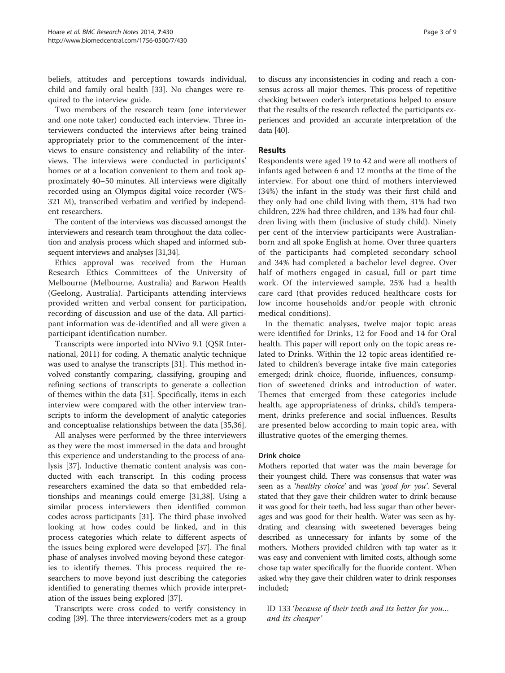beliefs, attitudes and perceptions towards individual, child and family oral health [\[33](#page-7-0)]. No changes were required to the interview guide.

Two members of the research team (one interviewer and one note taker) conducted each interview. Three interviewers conducted the interviews after being trained appropriately prior to the commencement of the interviews to ensure consistency and reliability of the interviews. The interviews were conducted in participants' homes or at a location convenient to them and took approximately 40–50 minutes. All interviews were digitally recorded using an Olympus digital voice recorder (WS-321 M), transcribed verbatim and verified by independent researchers.

The content of the interviews was discussed amongst the interviewers and research team throughout the data collection and analysis process which shaped and informed subsequent interviews and analyses [\[31,](#page-7-0)[34](#page-8-0)].

Ethics approval was received from the Human Research Ethics Committees of the University of Melbourne (Melbourne, Australia) and Barwon Health (Geelong, Australia). Participants attending interviews provided written and verbal consent for participation, recording of discussion and use of the data. All participant information was de-identified and all were given a participant identification number.

Transcripts were imported into NVivo 9.1 (QSR International, 2011) for coding. A thematic analytic technique was used to analyse the transcripts [\[31](#page-7-0)]. This method involved constantly comparing, classifying, grouping and refining sections of transcripts to generate a collection of themes within the data [[31](#page-7-0)]. Specifically, items in each interview were compared with the other interview transcripts to inform the development of analytic categories and conceptualise relationships between the data [\[35,36](#page-8-0)].

All analyses were performed by the three interviewers as they were the most immersed in the data and brought this experience and understanding to the process of analysis [[37\]](#page-8-0). Inductive thematic content analysis was conducted with each transcript. In this coding process researchers examined the data so that embedded relationships and meanings could emerge [\[31](#page-7-0)[,38](#page-8-0)]. Using a similar process interviewers then identified common codes across participants [\[31\]](#page-7-0). The third phase involved looking at how codes could be linked, and in this process categories which relate to different aspects of the issues being explored were developed [[37\]](#page-8-0). The final phase of analyses involved moving beyond these categories to identify themes. This process required the researchers to move beyond just describing the categories identified to generating themes which provide interpretation of the issues being explored [\[37](#page-8-0)].

Transcripts were cross coded to verify consistency in coding [\[39\]](#page-8-0). The three interviewers/coders met as a group

to discuss any inconsistencies in coding and reach a consensus across all major themes. This process of repetitive checking between coder's interpretations helped to ensure that the results of the research reflected the participants experiences and provided an accurate interpretation of the data [[40](#page-8-0)].

## Results

Respondents were aged 19 to 42 and were all mothers of infants aged between 6 and 12 months at the time of the interview. For about one third of mothers interviewed (34%) the infant in the study was their first child and they only had one child living with them, 31% had two children, 22% had three children, and 13% had four children living with them (inclusive of study child). Ninety per cent of the interview participants were Australianborn and all spoke English at home. Over three quarters of the participants had completed secondary school and 34% had completed a bachelor level degree. Over half of mothers engaged in casual, full or part time work. Of the interviewed sample, 25% had a health care card (that provides reduced healthcare costs for low income households and/or people with chronic medical conditions).

In the thematic analyses, twelve major topic areas were identified for Drinks, 12 for Food and 14 for Oral health. This paper will report only on the topic areas related to Drinks. Within the 12 topic areas identified related to children's beverage intake five main categories emerged; drink choice, fluoride, influences, consumption of sweetened drinks and introduction of water. Themes that emerged from these categories include health, age appropriateness of drinks, child's temperament, drinks preference and social influences. Results are presented below according to main topic area, with illustrative quotes of the emerging themes.

## Drink choice

Mothers reported that water was the main beverage for their youngest child. There was consensus that water was seen as a 'healthy choice' and was 'good for you'. Several stated that they gave their children water to drink because it was good for their teeth, had less sugar than other beverages and was good for their health. Water was seen as hydrating and cleansing with sweetened beverages being described as unnecessary for infants by some of the mothers. Mothers provided children with tap water as it was easy and convenient with limited costs, although some chose tap water specifically for the fluoride content. When asked why they gave their children water to drink responses included;

ID 133 'because of their teeth and its better for you… and its cheaper'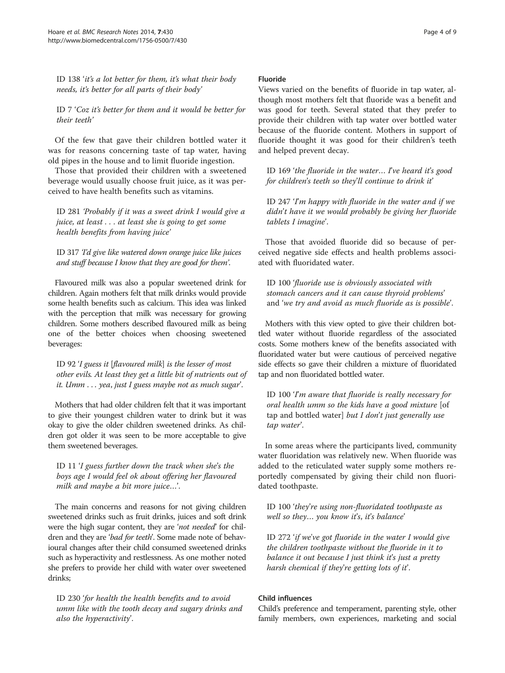ID 138 'it's a lot better for them, it's what their body needs, it's better for all parts of their body'

ID 7 'Coz it's better for them and it would be better for their teeth'

Of the few that gave their children bottled water it was for reasons concerning taste of tap water, having old pipes in the house and to limit fluoride ingestion.

Those that provided their children with a sweetened beverage would usually choose fruit juice, as it was perceived to have health benefits such as vitamins.

ID 281 'Probably if it was a sweet drink I would give a juice, at least . . . at least she is going to get some health benefits from having juice'

ID 317 'I'd give like watered down orange juice like juices and stuff because I know that they are good for them'.

Flavoured milk was also a popular sweetened drink for children. Again mothers felt that milk drinks would provide some health benefits such as calcium. This idea was linked with the perception that milk was necessary for growing children. Some mothers described flavoured milk as being one of the better choices when choosing sweetened beverages:

ID 92 'I guess it [flavoured milk] is the lesser of most other evils. At least they get a little bit of nutrients out of it. Umm . . . yea, just I guess maybe not as much sugar'.

Mothers that had older children felt that it was important to give their youngest children water to drink but it was okay to give the older children sweetened drinks. As children got older it was seen to be more acceptable to give them sweetened beverages.

ID 11 'I guess further down the track when she's the boys age I would feel ok about offering her flavoured milk and maybe a bit more juice…'.

The main concerns and reasons for not giving children sweetened drinks such as fruit drinks, juices and soft drink were the high sugar content, they are 'not needed' for children and they are 'bad for teeth'. Some made note of behavioural changes after their child consumed sweetened drinks such as hyperactivity and restlessness. As one mother noted she prefers to provide her child with water over sweetened drinks;

ID 230 'for health the health benefits and to avoid umm like with the tooth decay and sugary drinks and also the hyperactivity'.

#### Fluoride

Views varied on the benefits of fluoride in tap water, although most mothers felt that fluoride was a benefit and was good for teeth. Several stated that they prefer to provide their children with tap water over bottled water because of the fluoride content. Mothers in support of fluoride thought it was good for their children's teeth and helped prevent decay.

ID 169 'the fluoride in the water… I've heard it's good for children's teeth so they'll continue to drink it'

ID 247  $Tm$  happy with fluoride in the water and if we didn't have it we would probably be giving her fluoride tablets I imagine'.

Those that avoided fluoride did so because of perceived negative side effects and health problems associated with fluoridated water.

ID 100 'fluoride use is obviously associated with stomach cancers and it can cause thyroid problems' and 'we try and avoid as much fluoride as is possible'.

Mothers with this view opted to give their children bottled water without fluoride regardless of the associated costs. Some mothers knew of the benefits associated with fluoridated water but were cautious of perceived negative side effects so gave their children a mixture of fluoridated tap and non fluoridated bottled water.

ID 100 'I'm aware that fluoride is really necessary for oral health umm so the kids have a good mixture [of tap and bottled water] but I don't just generally use tap water'.

In some areas where the participants lived, community water fluoridation was relatively new. When fluoride was added to the reticulated water supply some mothers reportedly compensated by giving their child non fluoridated toothpaste.

ID 100 'they're using non-fluoridated toothpaste as well so they... you know it's, it's balance'

ID 272 'if we've got fluoride in the water I would give the children toothpaste without the fluoride in it to balance it out because I just think it's just a pretty harsh chemical if they're getting lots of it'.

## Child influences

Child's preference and temperament, parenting style, other family members, own experiences, marketing and social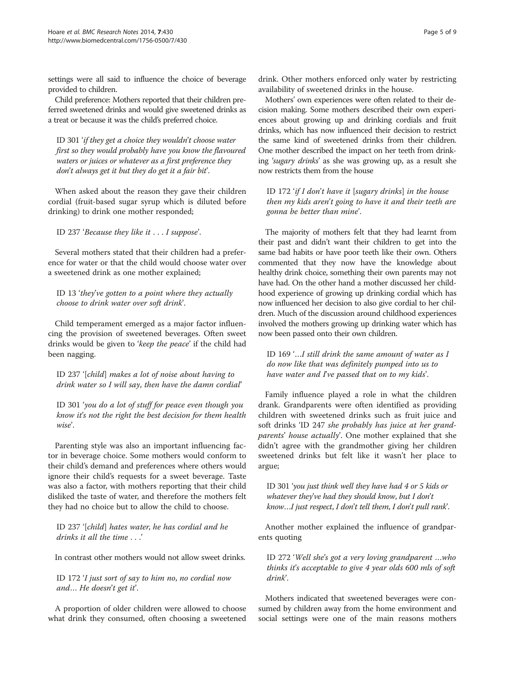settings were all said to influence the choice of beverage provided to children.

Child preference: Mothers reported that their children preferred sweetened drinks and would give sweetened drinks as a treat or because it was the child's preferred choice.

ID 301 'if they get a choice they wouldn't choose water first so they would probably have you know the flavoured waters or juices or whatever as a first preference they don't always get it but they do get it a fair bit'.

When asked about the reason they gave their children cordial (fruit-based sugar syrup which is diluted before drinking) to drink one mother responded;

ID 237 'Because they like it ... I suppose'.

Several mothers stated that their children had a preference for water or that the child would choose water over a sweetened drink as one mother explained;

ID 13 'they've gotten to a point where they actually choose to drink water over soft drink'.

Child temperament emerged as a major factor influencing the provision of sweetened beverages. Often sweet drinks would be given to 'keep the peace' if the child had been nagging.

ID 237 '[child] makes a lot of noise about having to drink water so I will say, then have the damn cordial'

ID 301 'you do a lot of stuff for peace even though you know it's not the right the best decision for them health wise'.

Parenting style was also an important influencing factor in beverage choice. Some mothers would conform to their child's demand and preferences where others would ignore their child's requests for a sweet beverage. Taste was also a factor, with mothers reporting that their child disliked the taste of water, and therefore the mothers felt they had no choice but to allow the child to choose.

ID 237 '[child] hates water, he has cordial and he drinks it all the time ...'

In contrast other mothers would not allow sweet drinks.

ID 172 'I just sort of say to him no, no cordial now and… He doesn't get it'.

A proportion of older children were allowed to choose what drink they consumed, often choosing a sweetened

drink. Other mothers enforced only water by restricting availability of sweetened drinks in the house.

Mothers' own experiences were often related to their decision making. Some mothers described their own experiences about growing up and drinking cordials and fruit drinks, which has now influenced their decision to restrict the same kind of sweetened drinks from their children. One mother described the impact on her teeth from drinking 'sugary drinks' as she was growing up, as a result she now restricts them from the house

ID 172 'if I don't have it [sugary drinks] in the house then my kids aren't going to have it and their teeth are gonna be better than mine'.

The majority of mothers felt that they had learnt from their past and didn't want their children to get into the same bad habits or have poor teeth like their own. Others commented that they now have the knowledge about healthy drink choice, something their own parents may not have had. On the other hand a mother discussed her childhood experience of growing up drinking cordial which has now influenced her decision to also give cordial to her children. Much of the discussion around childhood experiences involved the mothers growing up drinking water which has now been passed onto their own children.

ID 169 '…I still drink the same amount of water as I do now like that was definitely pumped into us to have water and I've passed that on to my kids'.

Family influence played a role in what the children drank. Grandparents were often identified as providing children with sweetened drinks such as fruit juice and soft drinks 'ID 247 she probably has juice at her grandparents' house actually'. One mother explained that she didn't agree with the grandmother giving her children sweetened drinks but felt like it wasn't her place to argue;

ID 301 'you just think well they have had 4 or 5 kids or whatever they've had they should know, but I don't know…I just respect, I don't tell them, I don't pull rank'.

Another mother explained the influence of grandparents quoting

ID 272 'Well she's got a very loving grandparent …who thinks it's acceptable to give 4 year olds 600 mls of soft drink'.

Mothers indicated that sweetened beverages were consumed by children away from the home environment and social settings were one of the main reasons mothers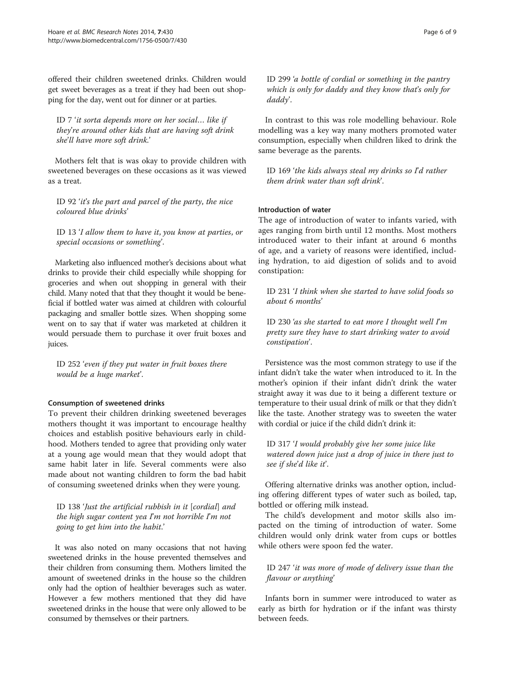offered their children sweetened drinks. Children would get sweet beverages as a treat if they had been out shopping for the day, went out for dinner or at parties.

ID 7 'it sorta depends more on her social… like if they're around other kids that are having soft drink she'll have more soft drink.'

Mothers felt that is was okay to provide children with sweetened beverages on these occasions as it was viewed as a treat.

ID 92 'it's the part and parcel of the party, the nice coloured blue drinks'

ID 13 'I allow them to have it, you know at parties, or special occasions or something'.

Marketing also influenced mother's decisions about what drinks to provide their child especially while shopping for groceries and when out shopping in general with their child. Many noted that that they thought it would be beneficial if bottled water was aimed at children with colourful packaging and smaller bottle sizes. When shopping some went on to say that if water was marketed at children it would persuade them to purchase it over fruit boxes and juices.

ID 252 'even if they put water in fruit boxes there would be a huge market'.

## Consumption of sweetened drinks

To prevent their children drinking sweetened beverages mothers thought it was important to encourage healthy choices and establish positive behaviours early in childhood. Mothers tended to agree that providing only water at a young age would mean that they would adopt that same habit later in life. Several comments were also made about not wanting children to form the bad habit of consuming sweetened drinks when they were young.

ID 138 'Just the artificial rubbish in it [cordial] and the high sugar content yea I'm not horrible I'm not going to get him into the habit.'

It was also noted on many occasions that not having sweetened drinks in the house prevented themselves and their children from consuming them. Mothers limited the amount of sweetened drinks in the house so the children only had the option of healthier beverages such as water. However a few mothers mentioned that they did have sweetened drinks in the house that were only allowed to be consumed by themselves or their partners.

ID 299 'a bottle of cordial or something in the pantry which is only for daddy and they know that's only for daddy'.

In contrast to this was role modelling behaviour. Role modelling was a key way many mothers promoted water consumption, especially when children liked to drink the same beverage as the parents.

ID 169 'the kids always steal my drinks so I'd rather them drink water than soft drink'.

#### Introduction of water

The age of introduction of water to infants varied, with ages ranging from birth until 12 months. Most mothers introduced water to their infant at around 6 months of age, and a variety of reasons were identified, including hydration, to aid digestion of solids and to avoid constipation:

ID 231 'I think when she started to have solid foods so about 6 months'

ID 230 'as she started to eat more I thought well I'm pretty sure they have to start drinking water to avoid constipation'.

Persistence was the most common strategy to use if the infant didn't take the water when introduced to it. In the mother's opinion if their infant didn't drink the water straight away it was due to it being a different texture or temperature to their usual drink of milk or that they didn't like the taste. Another strategy was to sweeten the water with cordial or juice if the child didn't drink it:

ID 317 'I would probably give her some juice like watered down juice just a drop of juice in there just to see if she'd like it'.

Offering alternative drinks was another option, including offering different types of water such as boiled, tap, bottled or offering milk instead.

The child's development and motor skills also impacted on the timing of introduction of water. Some children would only drink water from cups or bottles while others were spoon fed the water.

## ID 247 'it was more of mode of delivery issue than the flavour or anything'

Infants born in summer were introduced to water as early as birth for hydration or if the infant was thirsty between feeds.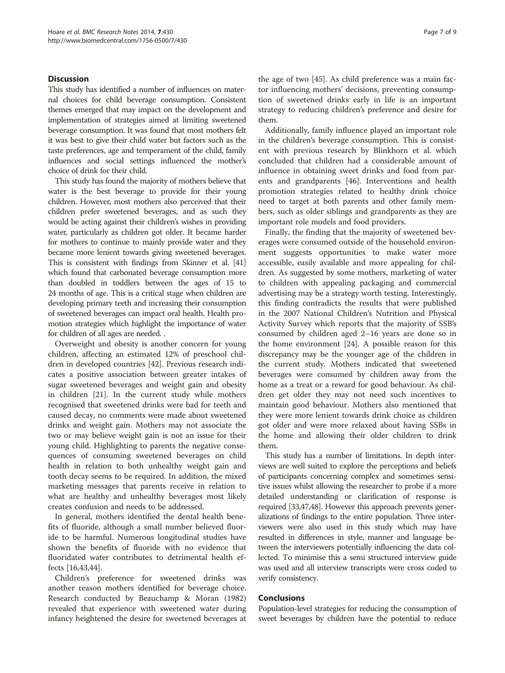#### Discussion

This study has identified a number of influences on maternal choices for child beverage consumption. Consistent themes emerged that may impact on the development and implementation of strategies aimed at limiting sweetened beverage consumption. It was found that most mothers felt it was best to give their child water but factors such as the taste preferences, age and temperament of the child, family influences and social settings influenced the mother's choice of drink for their child.

This study has found the majority of mothers believe that water is the best beverage to provide for their young children. However, most mothers also perceived that their children prefer sweetened beverages, and as such they would be acting against their children's wishes in providing water, particularly as children got older. It became harder for mothers to continue to mainly provide water and they became more lenient towards giving sweetened beverages. This is consistent with findings from Skinner et al. [\[41](#page-8-0)] which found that carbonated beverage consumption more than doubled in toddlers between the ages of 15 to 24 months of age. This is a critical stage when children are developing primary teeth and increasing their consumption of sweetened beverages can impact oral health. Health promotion strategies which highlight the importance of water for children of all ages are needed. .

Overweight and obesity is another concern for young children, affecting an estimated 12% of preschool children in developed countries [[42\]](#page-8-0). Previous research indicates a positive association between greater intakes of sugar sweetened beverages and weight gain and obesity in children [[21](#page-7-0)]. In the current study while mothers recognised that sweetened drinks were bad for teeth and caused decay, no comments were made about sweetened drinks and weight gain. Mothers may not associate the two or may believe weight gain is not an issue for their young child. Highlighting to parents the negative consequences of consuming sweetened beverages on child health in relation to both unhealthy weight gain and tooth decay seems to be required. In addition, the mixed marketing messages that parents receive in relation to what are healthy and unhealthy beverages most likely creates confusion and needs to be addressed.

In general, mothers identified the dental health benefits of fluoride, although a small number believed fluoride to be harmful. Numerous longitudinal studies have shown the benefits of fluoride with no evidence that fluoridated water contributes to detrimental health effects [[16](#page-7-0),[43](#page-8-0),[44](#page-8-0)].

Children's preference for sweetened drinks was another reason mothers identified for beverage choice. Research conducted by Beauchamp & Moran (1982) revealed that experience with sweetened water during infancy heightened the desire for sweetened beverages at

the age of two [[45\]](#page-8-0). As child preference was a main factor influencing mothers' decisions, preventing consumption of sweetened drinks early in life is an important strategy to reducing children's preference and desire for them.

Additionally, family influence played an important role in the children's beverage consumption. This is consistent with previous research by Blinkhorn et al. which concluded that children had a considerable amount of influence in obtaining sweet drinks and food from parents and grandparents [\[46\]](#page-8-0). Interventions and health promotion strategies related to healthy drink choice need to target at both parents and other family members, such as older siblings and grandparents as they are important role models and food providers.

Finally, the finding that the majority of sweetened beverages were consumed outside of the household environment suggests opportunities to make water more accessible, easily available and more appealing for children. As suggested by some mothers, marketing of water to children with appealing packaging and commercial advertising may be a strategy worth testing. Interestingly, this finding contradicts the results that were published in the 2007 National Children's Nutrition and Physical Activity Survey which reports that the majority of SSB's consumed by children aged 2–16 years are done so in the home environment [[24\]](#page-7-0). A possible reason for this discrepancy may be the younger age of the children in the current study. Mothers indicated that sweetened beverages were consumed by children away from the home as a treat or a reward for good behaviour. As children get older they may not need such incentives to maintain good behaviour. Mothers also mentioned that they were more lenient towards drink choice as children got older and were more relaxed about having SSBs in the home and allowing their older children to drink them.

This study has a number of limitations. In depth interviews are well suited to explore the perceptions and beliefs of participants concerning complex and sometimes sensitive issues whilst allowing the researcher to probe if a more detailed understanding or clarification of response is required [\[33,](#page-7-0)[47,48\]](#page-8-0). However this approach prevents generalizations of findings to the entire population. Three interviewers were also used in this study which may have resulted in differences in style, manner and language between the interviewers potentially influencing the data collected. To minimise this a semi structured interview guide was used and all interview transcripts were cross coded to verify consistency.

#### Conclusions

Population-level strategies for reducing the consumption of sweet beverages by children have the potential to reduce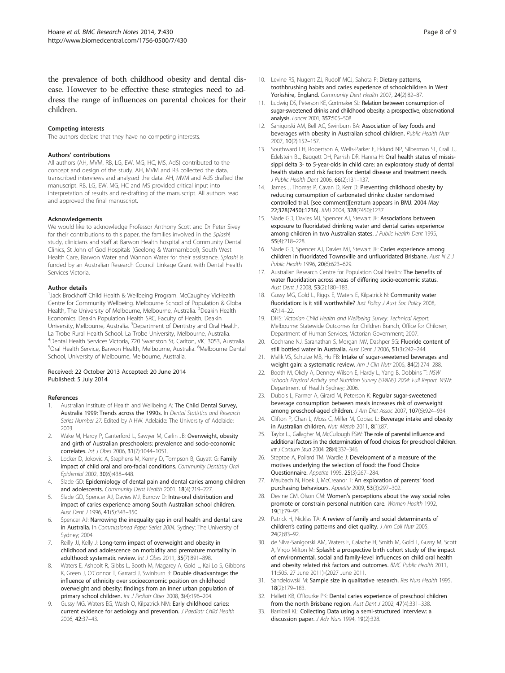<span id="page-7-0"></span>the prevalence of both childhood obesity and dental disease. However to be effective these strategies need to address the range of influences on parental choices for their children.

#### Competing interests

The authors declare that they have no competing interests.

#### Authors' contributions

All authors (AH, MVM, RB, LG, EW, MG, HC, MS, AdS) contributed to the concept and design of the study. AH, MVM and RB collected the data, transcribed interviews and analysed the data. AH, MVM and AdS drafted the manuscript. RB, LG, EW, MG, HC and MS provided critical input into interpretation of results and re-drafting of the manuscript. All authors read and approved the final manuscript.

#### Acknowledgements

We would like to acknowledge Professor Anthony Scott and Dr Peter Sivey for their contributions to this paper, the families involved in the Splash! study, clinicians and staff at Barwon Health hospital and Community Dental Clinics, St John of God Hospitals (Geelong & Warrnambool), South West Health Care, Barwon Water and Wannon Water for their assistance. Splash! is funded by an Australian Research Council Linkage Grant with Dental Health Services Victoria.

#### Author details

1 Jack Brockhoff Child Health & Wellbeing Program. McCaughey VicHealth Centre for Community Wellbeing. Melbourne School of Population & Global Health, The University of Melbourne, Melbourne, Australia. <sup>2</sup>Deakin Health Economics. Deakin Population Health SRC, Faculty of Health, Deakin University, Melbourne, Australia. <sup>3</sup>Department of Dentistry and Oral Health, La Trobe Rural Health School. La Trobe University, Melbourne, Australia. 4 Dental Health Services Victoria, 720 Swanston St, Carlton, VIC 3053, Australia. <sup>5</sup>Oral Health Service, Barwon Health, Melbourne, Australia. <sup>6</sup>Melbourne Dental School, University of Melbourne, Melbourne, Australia.

#### Received: 22 October 2013 Accepted: 20 June 2014 Published: 5 July 2014

#### References

- 1. Australian Institute of Health and Wellbeing A: The Child Dental Survey, Australia 1999: Trends across the 1990s. In Dental Statistics and Research Series Number 27. Edited by AIHW. Adelaide: The University of Adelaide; 2003.
- 2. Wake M, Hardy P, Canterford L, Sawyer M, Carlin JB: Overweight, obesity and girth of Australian preschoolers: prevalence and socio-economic correlates. Int J Obes 2006, 31(7):1044–1051.
- 3. Locker D, Jokovic A, Stephens M, Kenny D, Tompson B, Guyatt G: Family impact of child oral and oro-facial conditions. Community Dentistry Oral Epidemiol 2002, 30(6):438–448.
- 4. Slade GD: Epidemiology of dental pain and dental caries among children and adolescents. Community Dent Health 2001, 18(4):219–227.
- Slade GD, Spencer AJ, Davies MJ, Burrow D: Intra-oral distribution and impact of caries experience among South Australian school children. Aust Dent J 1996, 41(5):343–350.
- Spencer AJ: Narrowing the inequality gap in oral health and dental care in Australia. In Commissioned Paper Series 2004. Sydney: The University of Sydney; 2004.
- Reilly JJ, Kelly J: Long-term impact of overweight and obesity in childhood and adolescence on morbidity and premature mortality in adulthood: systematic review. Int J Obes 2011, 35(7):891-898.
- 8. Waters E, Ashbolt R, Gibbs L, Booth M, Magarey A, Gold L, Kai Lo S, Gibbons K, Green J, O'Connor T, Garrard J, Swinburn B: Double disadvantage: the influence of ethnicity over socioeconomic position on childhood overweight and obesity: findings from an inner urban population of primary school children. Int J Pediatr Obes 2008, 3(4):196-204.
- Gussy MG, Waters EG, Walsh O, Kilpatrick NM: Early childhood caries: current evidence for aetiology and prevention. J Paediatr Child Health 2006, 42:37–43.
- 10. Levine RS, Nugent ZJ, Rudolf MCJ, Sahota P: Dietary patterns, toothbrushing habits and caries experience of schoolchildren in West Yorkshire, England. Community Dent Health 2007, 24(2):82-87.
- 11. Ludwig DS, Peterson KE, Gortmaker SL: Relation between consumption of sugar-sweetened drinks and childhood obesity: a prospective, observational analysis. Lancet 2001, 357:505–508.
- 12. Sanigorski AM, Bell AC, Swinburn BA: Association of key foods and beverages with obesity in Australian school children. Public Health Nutr 2007, 10(2):152–157.
- 13. Southward LH, Robertson A, Wells-Parker E, Eklund NP, Silberman SL, Crall JJ, Edelstein BL, Baggett DH, Parrish DR, Hanna H: Oral health status of mississippi delta 3- to 5-year-olds in child care: an exploratory study of dental health status and risk factors for dental disease and treatment needs. J Public Health Dent 2006, 66(2):131–137.
- 14. James J, Thomas P, Cavan D, Kerr D: Preventing childhood obesity by reducing consumption of carbonated drinks: cluster randomised controlled trial. [see comment][erratum appears in BMJ. 2004 May 22;328(7450):1236]. BMJ 2004, 328(7450):1237.
- 15. Slade GD, Davies MJ, Spencer AJ, Stewart JF: Associations between exposure to fluoridated drinking water and dental caries experience among children in two Australian states. J Public Health Dent 1995, 55(4):218–228.
- 16. Slade GD, Spencer AJ, Davies MJ, Stewart JF: Caries experience among children in fluoridated Townsville and unfluoridated Brisbane. Aust  $NZJ$ Public Health 1996, 20(6):623-629.
- 17. Australian Research Centre for Population Oral Health: The benefits of water fluoridation across areas of differing socio-economic status. Aust Dent J 2008, 53(2):180–183.
- 18. Gussy MG, Gold L, Riggs E, Waters E, Kilpatrick N: Community water fluoridation: is it still worthwhile? Just Policy J Aust Soc Policy 2008,  $47.14 - 22$
- 19. DHS: Victorian Child Health and Wellbeing Survey: Technical Report. Melbourne: Statewide Outcomes for Children Branch, Office for Children, Department of Human Services, Victorian Government; 2007.
- 20. Cochrane NJ, Saranathan S, Morgan MV, Dashper SG: Fluoride content of still bottled water in Australia. Aust Dent J 2006, 51(3):242–244.
- 21. Malik VS, Schulze MB, Hu FB: Intake of sugar-sweetened beverages and weight gain: a systematic review. Am J Clin Nutr 2006, 84(2):274–288.
- 22. Booth M, Okely A, Denney Wilson E, Hardy L, Yang B, Dobbins T: NSW Schools Physical Activity and Nutrition Survey (SPANS) 2004: Full Report. NSW: Department of Health Sydney; 2006.
- 23. Dubois L, Farmer A, Girard M, Peterson K: Regular sugar-sweetened beverage consumption between meals increases risk of overweight among preschool-aged children. J Am Diet Assoc 2007, 107(6):924–934.
- 24. Clifton P, Chan L, Moss C, Miller M, Cobiac L: Beverage intake and obesity in Australian children. Nutr Metab 2011, 8(1):87.
- 25. Taylor LJ, Gallagher M, McCullough FSW: The role of parental influence and additional factors in the determination of food choices for pre-school children. Int J Consum Stud 2004, 28(4):337–346.
- 26. Steptoe A, Pollard TM, Wardle J: Development of a measure of the motives underlying the selection of food: the Food Choice Questionnaire. Appetite 1995, 25(3):267–284.
- 27. Maubach N, Hoek J, McCreanor T: An exploration of parents' food purchasing behaviours. Appetite 2009, 53(3):297–302.
- 28. Devine CM, Olson CM: Women's perceptions about the way social roles promote or constrain personal nutrition care. Women Health 1992, 19(1):79–95.
- 29. Patrick H, Nicklas TA: A review of family and social determinants of children's eating patterns and diet quality. J Am Coll Nutr 2005, 24(2):83–92.
- 30. de Silva-Sanigorski AM, Waters E, Calache H, Smith M, Gold L, Gussy M, Scott A, Virgo Milton M: Splash!: a prospective birth cohort study of the impact of environmental, social and family-level influences on child oral health and obesity related risk factors and outcomes. BMC Public Health 2011, 11:505. 27 June 2011)-(2027 June 2011.
- 31. Sandelowski M: Sample size in qualitative research. Res Nurs Health 1995, 18(2):179–183.
- 32. Hallett KB, O'Rourke PK: Dental caries experience of preschool children from the north Brisbane region. Aust Dent J 2002, 47(4):331-338.
- 33. Barriball KL: Collecting Data using a semi-structured interview: a discussion paper. J Adv Nurs 1994, 19(2):328.